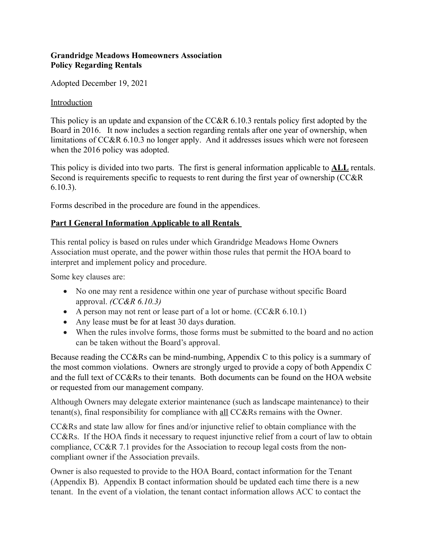## **Grandridge Meadows Homeowners Association Policy Regarding Rentals**

Adopted December 19, 2021

### Introduction

This policy is an update and expansion of the CC&R 6.10.3 rentals policy first adopted by the Board in 2016. It now includes a section regarding rentals after one year of ownership, when limitations of CC&R 6.10.3 no longer apply. And it addresses issues which were not foreseen when the 2016 policy was adopted.

This policy is divided into two parts. The first is general information applicable to **ALL** rentals. Second is requirements specific to requests to rent during the first year of ownership (CC&R 6.10.3).

Forms described in the procedure are found in the appendices.

# **Part I General Information Applicable to all Rentals**

This rental policy is based on rules under which Grandridge Meadows Home Owners Association must operate, and the power within those rules that permit the HOA board to interpret and implement policy and procedure.

Some key clauses are:

- No one may rent a residence within one year of purchase without specific Board approval. *(CC&R 6.10.3)*
- A person may not rent or lease part of a lot or home.  $(CC&R 6.10.1)$
- Any lease must be for at least 30 days duration.
- When the rules involve forms, those forms must be submitted to the board and no action can be taken without the Board's approval.

Because reading the CC&Rs can be mind-numbing, Appendix C to this policy is a summary of the most common violations. Owners are strongly urged to provide a copy of both Appendix C and the full text of CC&Rs to their tenants. Both documents can be found on the HOA website or requested from our management company.

Although Owners may delegate exterior maintenance (such as landscape maintenance) to their tenant(s), final responsibility for compliance with all CC&Rs remains with the Owner.

CC&Rs and state law allow for fines and/or injunctive relief to obtain compliance with the CC&Rs. If the HOA finds it necessary to request injunctive relief from a court of law to obtain compliance, CC&R 7.1 provides for the Association to recoup legal costs from the noncompliant owner if the Association prevails.

Owner is also requested to provide to the HOA Board, contact information for the Tenant (Appendix B). Appendix B contact information should be updated each time there is a new tenant. In the event of a violation, the tenant contact information allows ACC to contact the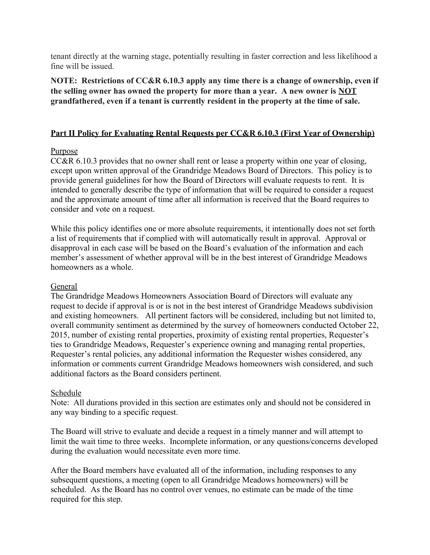tenant directly at the warning stage, potentially resulting in faster correction and less likelihood a fine will be issued.

**NOTE: Restrictions of CC&R 6.10.3 apply any time there is a change of ownership, even if the selling owner has owned the property for more than a year. A new owner is NOT grandfathered, even if a tenant is currently resident in the property at the time of sale.**

## **Part II Policy for Evaluating Rental Requests per CC&R 6.10.3 (First Year of Ownership)**

### Purpose

CC&R 6.10.3 provides that no owner shall rent or lease a property within one year of closing, except upon written approval of the Grandridge Meadows Board of Directors. This policy is to provide general guidelines for how the Board of Directors will evaluate requests to rent. It is intended to generally describe the type of information that will be required to consider a request and the approximate amount of time after all information is received that the Board requires to consider and vote on a request.

While this policy identifies one or more absolute requirements, it intentionally does not set forth a list of requirements that if complied with will automatically result in approval. Approval or disapproval in each case will be based on the Board's evaluation of the information and each member's assessment of whether approval will be in the best interest of Grandridge Meadows homeowners as a whole.

### General

The Grandridge Meadows Homeowners Association Board of Directors will evaluate any request to decide if approval is or is not in the best interest of Grandridge Meadows subdivision and existing homeowners. All pertinent factors will be considered, including but not limited to, overall community sentiment as determined by the survey of homeowners conducted October 22, 2015, number of existing rental properties, proximity of existing rental properties, Requester's ties to Grandridge Meadows, Requester's experience owning and managing rental properties, Requester's rental policies, any additional information the Requester wishes considered, any information or comments current Grandridge Meadows homeowners wish considered, and such additional factors as the Board considers pertinent.

### Schedule

Note: All durations provided in this section are estimates only and should not be considered in any way binding to a specific request.

The Board will strive to evaluate and decide a request in a timely manner and will attempt to limit the wait time to three weeks. Incomplete information, or any questions/concerns developed during the evaluation would necessitate even more time.

After the Board members have evaluated all of the information, including responses to any subsequent questions, a meeting (open to all Grandridge Meadows homeowners) will be scheduled. As the Board has no control over venues, no estimate can be made of the time required for this step.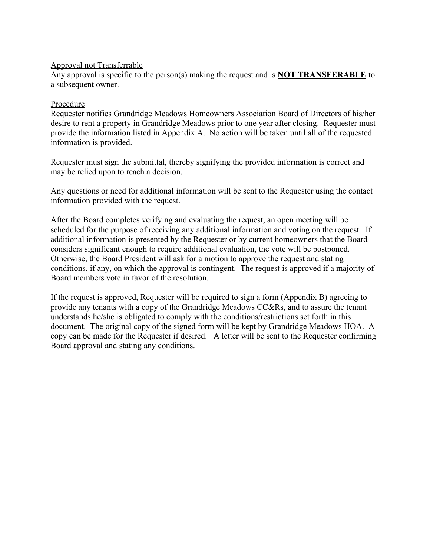#### Approval not Transferrable

Any approval is specific to the person(s) making the request and is **NOT TRANSFERABLE** to a subsequent owner.

### Procedure

Requester notifies Grandridge Meadows Homeowners Association Board of Directors of his/her desire to rent a property in Grandridge Meadows prior to one year after closing. Requester must provide the information listed in Appendix A. No action will be taken until all of the requested information is provided.

Requester must sign the submittal, thereby signifying the provided information is correct and may be relied upon to reach a decision.

Any questions or need for additional information will be sent to the Requester using the contact information provided with the request.

After the Board completes verifying and evaluating the request, an open meeting will be scheduled for the purpose of receiving any additional information and voting on the request. If additional information is presented by the Requester or by current homeowners that the Board considers significant enough to require additional evaluation, the vote will be postponed. Otherwise, the Board President will ask for a motion to approve the request and stating conditions, if any, on which the approval is contingent. The request is approved if a majority of Board members vote in favor of the resolution.

If the request is approved, Requester will be required to sign a form (Appendix B) agreeing to provide any tenants with a copy of the Grandridge Meadows CC&Rs, and to assure the tenant understands he/she is obligated to comply with the conditions/restrictions set forth in this document. The original copy of the signed form will be kept by Grandridge Meadows HOA. A copy can be made for the Requester if desired. A letter will be sent to the Requester confirming Board approval and stating any conditions.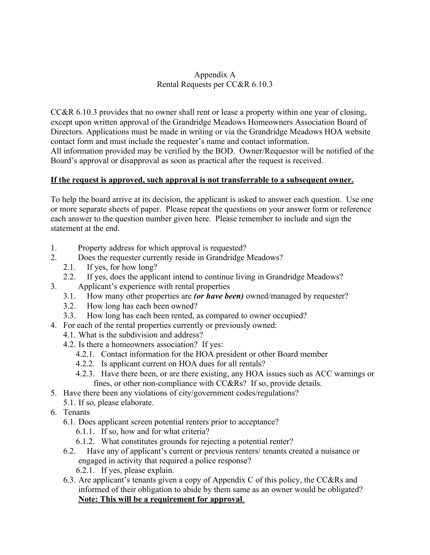#### Appendix A Rental Requests per CC&R 6.10.3

CC&R 6.10.3 provides that no owner shall rent or lease a property within one year of closing, except upon written approval of the Grandridge Meadows Homeowners Association Board of Directors. Applications must be made in writing or via the Grandridge Meadows HOA website contact form and must include the requester's name and contact information. All information provided may be verified by the BOD. Owner/Requestor will be notified of the Board's approval or disapproval as soon as practical after the request is received.

#### **If the request is approved, such approval is not transferrable to a subsequent owner.**

To help the board arrive at its decision, the applicant is asked to answer each question. Use one or more separate sheets of paper. Please repeat the questions on your answer form or reference each answer to the question number given here. Please remember to include and sign the statement at the end.

- 1. Property address for which approval is requested?
- 2. Does the requester currently reside in Grandridge Meadows?
	- 2.1. If yes, for how long?
	- 2.2. If yes, does the applicant intend to continue living in Grandridge Meadows?
- 3. Applicant's experience with rental properties
	- 3.1. How many other properties are *(or have been)* owned/managed by requester?
	- 3.2. How long has each been owned?
	- 3.3. How long has each been rented, as compared to owner occupied?
- 4. For each of the rental properties currently or previously owned:
	- 4.1. What is the subdivision and address?
	- 4.2. Is there a homeowners association? If yes:
		- 4.2.1. Contact information for the HOA president or other Board member
		- 4.2.2. Is applicant current on HOA dues for all rentals?
		- 4.2.3. Have there been, or are there existing, any HOA issues such as ACC warnings or fines, or other non-compliance with CC&Rs? If so, provide details.
- 5. Have there been any violations of city/government codes/regulations?
- 5.1. If so, please elaborate.
- 6. Tenants
	- 6.1. Does applicant screen potential renters prior to acceptance?
		- 6.1.1. If so, how and for what criteria?
		- 6.1.2. What constitutes grounds for rejecting a potential renter?
	- 6.2. Have any of applicant's current or previous renters/ tenants created a nuisance or engaged in activity that required a police response? 6.2.1. If yes, please explain.
	- 6.3. Are applicant's tenants given a copy of Appendix C of this policy, the CC&Rs and informed of their obligation to abide by them same as an owner would be obligated?  **Note: This will be a requirement for approval**.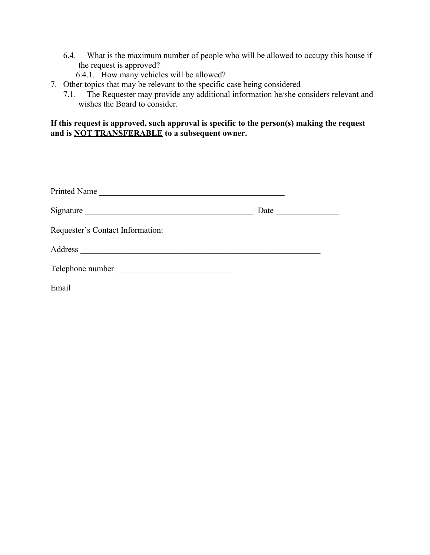- 6.4. What is the maximum number of people who will be allowed to occupy this house if the request is approved?
	- 6.4.1. How many vehicles will be allowed?
- 7. Other topics that may be relevant to the specific case being considered
	- 7.1. The Requester may provide any additional information he/she considers relevant and wishes the Board to consider.

#### **If this request is approved, such approval is specific to the person(s) making the request and is NOT TRANSFERABLE to a subsequent owner.**

| Printed Name                                                                     |      |  |
|----------------------------------------------------------------------------------|------|--|
| Signature<br><u> 1980 - Andrea Station Barbara, amerikan personal (h. 1980).</u> | Date |  |
| Requester's Contact Information:                                                 |      |  |
| Address                                                                          |      |  |
| Telephone number                                                                 |      |  |
| Email                                                                            |      |  |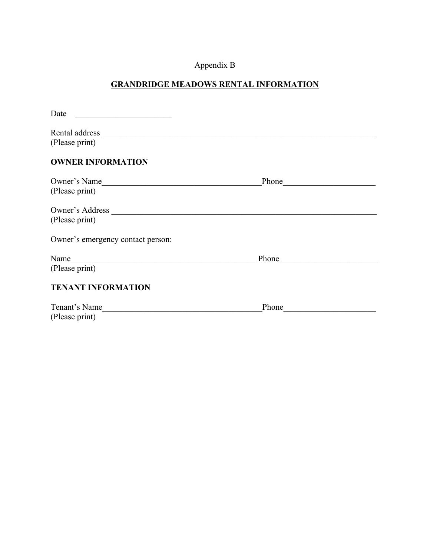# Appendix B

# **GRANDRIDGE MEADOWS RENTAL INFORMATION**

| Date<br>the control of the control of the control of the control of the control of |                                                                                                                                                                                                                                |
|------------------------------------------------------------------------------------|--------------------------------------------------------------------------------------------------------------------------------------------------------------------------------------------------------------------------------|
| (Please print)                                                                     |                                                                                                                                                                                                                                |
| <b>OWNER INFORMATION</b>                                                           |                                                                                                                                                                                                                                |
| Owner's Name<br>(Please print)                                                     | Phone expansion of the contract of the contract of the contract of the contract of the contract of the contract of the contract of the contract of the contract of the contract of the contract of the contract of the contrac |
| Owner's Address<br>(Please print)                                                  |                                                                                                                                                                                                                                |
| Owner's emergency contact person:                                                  |                                                                                                                                                                                                                                |
| Name<br>(Please print)                                                             | Phone                                                                                                                                                                                                                          |
| <b>TENANT INFORMATION</b>                                                          |                                                                                                                                                                                                                                |
| Tenant's Name<br>(Please print)                                                    |                                                                                                                                                                                                                                |